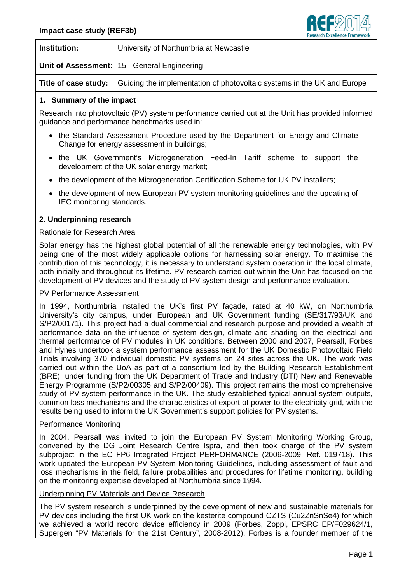

**Institution:** University of Northumbria at Newcastle

**Unit of Assessment:** 15 - General Engineering

**Title of case study:** Guiding the implementation of photovoltaic systems in the UK and Europe

# **1. Summary of the impact**

Research into photovoltaic (PV) system performance carried out at the Unit has provided informed guidance and performance benchmarks used in:

- the Standard Assessment Procedure used by the Department for Energy and Climate Change for energy assessment in buildings;
- the UK Government's Microgeneration Feed-In Tariff scheme to support the development of the UK solar energy market;
- the development of the Microgeneration Certification Scheme for UK PV installers;
- the development of new European PV system monitoring guidelines and the updating of IEC monitoring standards.

### **2. Underpinning research**

### Rationale for Research Area

Solar energy has the highest global potential of all the renewable energy technologies, with PV being one of the most widely applicable options for harnessing solar energy. To maximise the contribution of this technology, it is necessary to understand system operation in the local climate, both initially and throughout its lifetime. PV research carried out within the Unit has focused on the development of PV devices and the study of PV system design and performance evaluation.

#### PV Performance Assessment

In 1994, Northumbria installed the UK's first PV façade, rated at 40 kW, on Northumbria University's city campus, under European and UK Government funding (SE/317/93/UK and S/P2/00171). This project had a dual commercial and research purpose and provided a wealth of performance data on the influence of system design, climate and shading on the electrical and thermal performance of PV modules in UK conditions. Between 2000 and 2007, Pearsall, Forbes and Hynes undertook a system performance assessment for the UK Domestic Photovoltaic Field Trials involving 370 individual domestic PV systems on 24 sites across the UK. The work was carried out within the UoA as part of a consortium led by the Building Research Establishment (BRE), under funding from the UK Department of Trade and Industry (DTI) New and Renewable Energy Programme (S/P2/00305 and S/P2/00409). This project remains the most comprehensive study of PV system performance in the UK. The study established typical annual system outputs, common loss mechanisms and the characteristics of export of power to the electricity grid, with the results being used to inform the UK Government's support policies for PV systems.

#### Performance Monitoring

In 2004, Pearsall was invited to join the European PV System Monitoring Working Group, convened by the DG Joint Research Centre Ispra, and then took charge of the PV system subproject in the EC FP6 Integrated Project PERFORMANCE (2006-2009, Ref. 019718). This work updated the European PV System Monitoring Guidelines, including assessment of fault and loss mechanisms in the field, failure probabilities and procedures for lifetime monitoring, building on the monitoring expertise developed at Northumbria since 1994.

# Underpinning PV Materials and Device Research

The PV system research is underpinned by the development of new and sustainable materials for PV devices including the first UK work on the kesterite compound CZTS (Cu2ZnSnSe4) for which we achieved a world record device efficiency in 2009 (Forbes, Zoppi, EPSRC EP/F029624/1, Supergen "PV Materials for the 21st Century", 2008-2012). Forbes is a founder member of the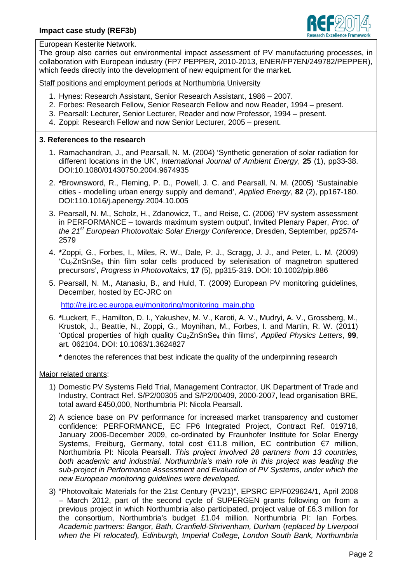

European Kesterite Network.

The group also carries out environmental impact assessment of PV manufacturing processes, in collaboration with European industry (FP7 PEPPER, 2010-2013, ENER/FP7EN/249782/PEPPER), which feeds directly into the development of new equipment for the market.

Staff positions and employment periods at Northumbria University

- 1. Hynes: Research Assistant, Senior Research Assistant, 1986 2007.
- 2. Forbes: Research Fellow, Senior Research Fellow and now Reader, 1994 present.
- 3. Pearsall: Lecturer, Senior Lecturer, Reader and now Professor, 1994 present.
- 4. Zoppi: Research Fellow and now Senior Lecturer, 2005 present.

#### **3. References to the research**

- 1. Ramachandran, J., and Pearsall, N. M. (2004) 'Synthetic generation of solar radiation for different locations in the UK', *International Journal of Ambient Energy*, **25** (1), pp33-38. DOI:10.1080/01430750.2004.9674935
- 2. **\***Brownsword, R., Fleming, P. D., Powell, J. C. and Pearsall, N. M. (2005) 'Sustainable cities - modelling urban energy supply and demand', *Applied Energy*, **82** (2), pp167-180. DOI:110.1016/j.apenergy.2004.10.005
- 3. Pearsall, N. M., Scholz, H., Zdanowicz, T., and Reise, C. (2006) 'PV system assessment in PERFORMANCE – towards maximum system output', Invited Plenary Paper, *Proc. of the 21st European Photovoltaic Solar Energy Conference*, Dresden, September, pp2574- 2579
- 4. **\***Zoppi, G., Forbes, I., Miles, R. W., Dale, P. J., Scragg, J. J., and Peter, L. M. (2009)  $Cu_2ZnSnSe_4$  thin film solar cells produced by selenisation of magnetron sputtered precursors', *Progress in Photovoltaics*, **17** (5), pp315-319. DOI: 10.1002/pip.886
- 5. Pearsall, N. M., Atanasiu, B., and Huld, T. (2009) European PV monitoring guidelines, December, hosted by EC-JRC on

http://re.jrc.ec.europa.eu/monitoring/monitoring\_main.php

6. **\***Luckert, F., Hamilton, D. I., Yakushev, M. V., Karoti, A. V., Mudryi, A. V., Grossberg, M., Krustok, J., Beattie, N., Zoppi, G., Moynihan, M., Forbes, I. and Martin, R. W. (2011) 'Optical properties of high quality Cu2ZnSnSe<sup>4</sup> thin films', *Applied Physics Letters*, **99**, art. 062104. DOI: 10.1063/1.3624827

**\*** denotes the references that best indicate the quality of the underpinning research

Major related grants:

- 1) Domestic PV Systems Field Trial, Management Contractor, UK Department of Trade and Industry, Contract Ref. S/P2/00305 and S/P2/00409, 2000-2007, lead organisation BRE, total award £450,000, Northumbria PI: Nicola Pearsall.
- 2) A science base on PV performance for increased market transparency and customer confidence: PERFORMANCE, EC FP6 Integrated Project, Contract Ref. 019718, January 2006-December 2009, co-ordinated by Fraunhofer Institute for Solar Energy Systems, Freiburg, Germany, total cost €11.8 million, EC contribution €7 million, Northumbria PI: Nicola Pearsall. *This project involved 28 partners from 13 countries, both academic and industrial. Northumbria's main role in this project was leading the sub-project in Performance Assessment and Evaluation of PV Systems, under which the new European monitoring guidelines were developed.*
- 3) "Photovoltaic Materials for the 21st Century (PV21)", EPSRC EP/F029624/1, April 2008 – March 2012, part of the second cycle of SUPERGEN grants following on from a previous project in which Northumbria also participated, project value of £6.3 million for the consortium, Northumbria's budget £1.04 million. Northumbria PI: Ian Forbes. *Academic partners: Bangor, Bath, Cranfield-Shrivenham, Durham* (*replaced by Liverpool when the PI relocated*)*, Edinburgh, Imperial College, London South Bank, Northumbria*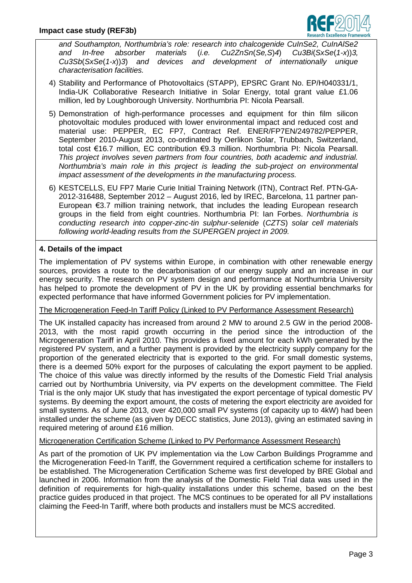

*and Southampton, Northumbria's role: research into chalcogenide CuInSe2, CuInAlSe2 and In-free absorber materials* (*i.e. Cu2ZnSn*(*Se,S*)*4*) *Cu3Bi*(*SxSe*(*1-x*))*3, Cu3Sb*(*SxSe*(*1-x*))*3*) *and devices and development of internationally unique characterisation facilities.*

- 4) Stability and Performance of Photovoltaics (STAPP), EPSRC Grant No. EP/H040331/1, India-UK Collaborative Research Initiative in Solar Energy, total grant value £1.06 million, led by Loughborough University. Northumbria PI: Nicola Pearsall.
- 5) Demonstration of high-performance processes and equipment for thin film silicon photovoltaic modules produced with lower environmental impact and reduced cost and material use: PEPPER, EC FP7, Contract Ref. ENER/FP7EN/249782/PEPPER, September 2010-August 2013, co-ordinated by Oerlikon Solar, Trubbach, Switzerland, total cost €16.7 million, EC contribution €9.3 million. Northumbria PI: Nicola Pearsall. *This project involves seven partners from four countries, both academic and industrial. Northumbria's main role in this project is leading the sub-project on environmental impact assessment of the developments in the manufacturing process.*
- 6) KESTCELLS, EU FP7 Marie Curie Initial Training Network (ITN), Contract Ref. PTN-GA-2012-316488, September 2012 – August 2016, led by IREC, Barcelona, 11 partner pan-European €3.7 million training network, that includes the leading European research groups in the field from eight countries. Northumbria PI: Ian Forbes. *Northumbria is conducting research into copper-zinc-tin sulphur-selenide* (*CZTS*) *solar cell materials following world-leading results from the SUPERGEN project in 2009.*

# **4. Details of the impact**

The implementation of PV systems within Europe, in combination with other renewable energy sources, provides a route to the decarbonisation of our energy supply and an increase in our energy security. The research on PV system design and performance at Northumbria University has helped to promote the development of PV in the UK by providing essential benchmarks for expected performance that have informed Government policies for PV implementation.

#### The Microgeneration Feed-In Tariff Policy (Linked to PV Performance Assessment Research)

The UK installed capacity has increased from around 2 MW to around 2.5 GW in the period 2008- 2013, with the most rapid growth occurring in the period since the introduction of the Microgeneration Tariff in April 2010. This provides a fixed amount for each kWh generated by the registered PV system, and a further payment is provided by the electricity supply company for the proportion of the generated electricity that is exported to the grid. For small domestic systems, there is a deemed 50% export for the purposes of calculating the export payment to be applied. The choice of this value was directly informed by the results of the Domestic Field Trial analysis carried out by Northumbria University, via PV experts on the development committee. The Field Trial is the only major UK study that has investigated the export percentage of typical domestic PV systems. By deeming the export amount, the costs of metering the export electricity are avoided for small systems. As of June 2013, over 420,000 small PV systems (of capacity up to 4kW) had been installed under the scheme (as given by DECC statistics, June 2013), giving an estimated saving in required metering of around £16 million.

#### Microgeneration Certification Scheme (Linked to PV Performance Assessment Research)

As part of the promotion of UK PV implementation via the Low Carbon Buildings Programme and the Microgeneration Feed-In Tariff, the Government required a certification scheme for installers to be established. The Microgeneration Certification Scheme was first developed by BRE Global and launched in 2006. Information from the analysis of the Domestic Field Trial data was used in the definition of requirements for high-quality installations under this scheme, based on the best practice guides produced in that project. The MCS continues to be operated for all PV installations claiming the Feed-In Tariff, where both products and installers must be MCS accredited.